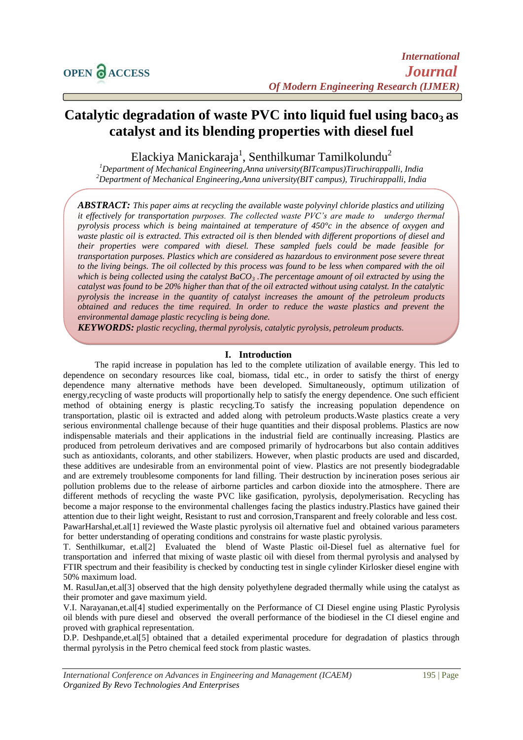# **Catalytic degradation of waste PVC into liquid fuel using baco3 as catalyst and its blending properties with diesel fuel**

Elackiya Manickaraja<sup>1</sup>, Senthilkumar Tamilkolundu<sup>2</sup>

*<sup>1</sup>Department of Mechanical Engineering,Anna university(BITcampus)Tiruchirappalli, India <sup>2</sup>Department of Mechanical Engineering,Anna university(BIT campus), Tiruchirappalli, India*

*ABSTRACT: This paper aims at recycling the available waste polyvinyl chloride plastics and utilizing it effectively for transportation purposes. The collected waste PVC's are made to undergo thermal pyrolysis process which is being maintained at temperature of 450°c in the absence of oxygen and waste plastic oil is extracted. This extracted oil is then blended with different proportions of diesel and their properties were compared with diesel. These sampled fuels could be made feasible for transportation purposes. Plastics which are considered as hazardous to environment pose severe threat*  to the living beings. The oil collected by this process was found to be less when compared with the oil *which is being collected using the catalyst BaCO<sup>3</sup> .The percentage amount of oil extracted by using the catalyst was found to be 20% higher than that of the oil extracted without using catalyst. In the catalytic pyrolysis the increase in the quantity of catalyst increases the amount of the petroleum products obtained and reduces the time required. In order to reduce the waste plastics and prevent the environmental damage plastic recycling is being done.*

*KEYWORDS: plastic recycling, thermal pyrolysis, catalytic pyrolysis, petroleum products.*

#### **I. Introduction**

The rapid increase in population has led to the complete utilization of available energy. This led to dependence on secondary resources like coal, biomass, tidal etc., in order to satisfy the thirst of energy dependence many alternative methods have been developed. Simultaneously, optimum utilization of energy,recycling of waste products will proportionally help to satisfy the energy dependence. One such efficient method of obtaining energy is plastic recycling.To satisfy the increasing population dependence on transportation, plastic oil is extracted and added along with petroleum products.Waste plastics create a very serious environmental challenge because of their huge quantities and their disposal problems. Plastics are now indispensable materials and their applications in the industrial field are continually increasing. Plastics are produced from petroleum derivatives and are composed primarily of hydrocarbons but also contain additives such as antioxidants, colorants, and other stabilizers. However, when plastic products are used and discarded, these additives are undesirable from an environmental point of view. Plastics are not presently biodegradable and are extremely troublesome components for land filling. Their destruction by incineration poses serious air pollution problems due to the release of airborne particles and carbon dioxide into the atmosphere. There are different methods of recycling the waste PVC like gasification, pyrolysis, depolymerisation. Recycling has become a major response to the environmental challenges facing the plastics industry.Plastics have gained their attention due to their light weight, Resistant to rust and corrosion,Transparent and freely colorable and less cost. PawarHarshal,et.al[1] reviewed the Waste plastic pyrolysis oil alternative fuel and obtained various parameters for better understanding of operating conditions and constrains for waste plastic pyrolysis.

T. Senthilkumar, et.al[2] Evaluated the blend of Waste Plastic oil-Diesel fuel as alternative fuel for transportation and inferred that mixing of waste plastic oil with diesel from thermal pyrolysis and analysed by FTIR spectrum and their feasibility is checked by conducting test in single cylinder Kirlosker diesel engine with 50% maximum load.

M. RasulJan,et.al[3] observed that the high density polyethylene degraded thermally while using the catalyst as their promoter and gave maximum yield.

V.I. Narayanan,et.al[4] studied experimentally on the Performance of CI Diesel engine using Plastic Pyrolysis oil blends with pure diesel and observed the overall performance of the biodiesel in the CI diesel engine and proved with graphical representation.

D.P. Deshpande,et.al[5] obtained that a detailed experimental procedure for degradation of plastics through thermal pyrolysis in the Petro chemical feed stock from plastic wastes.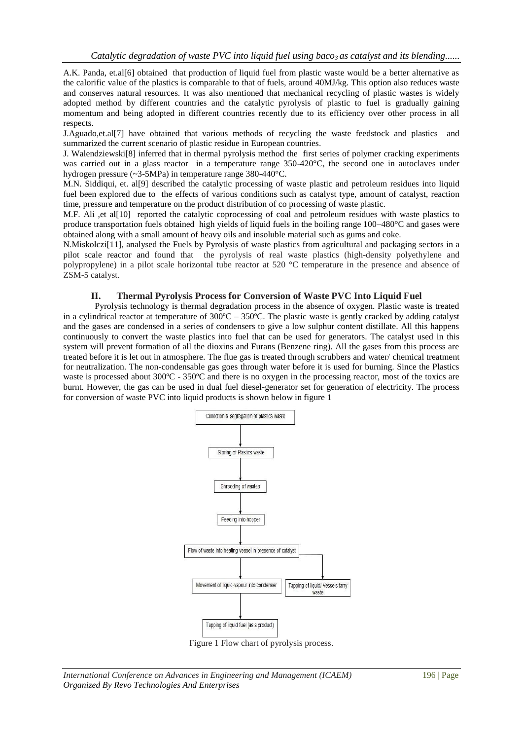A.K. Panda, et.al[6] obtained that production of liquid fuel from plastic waste would be a better alternative as the calorific value of the plastics is comparable to that of fuels, around 40MJ/kg. This option also reduces waste and conserves natural resources. It was also mentioned that mechanical recycling of plastic wastes is widely adopted method by different countries and the catalytic pyrolysis of plastic to fuel is gradually gaining momentum and being adopted in different countries recently due to its efficiency over other process in all respects.

J.Aguado,et.al[7] have obtained that various methods of recycling the waste feedstock and plastics and summarized the current scenario of plastic residue in European countries.

J. Walendziewski[8] inferred that in thermal pyrolysis method the first series of polymer cracking experiments was carried out in a glass reactor in a temperature range 350-420°C, the second one in autoclaves under hydrogen pressure (~3-5MPa) in temperature range 380-440°C.

M.N. Siddiqui, et. al[9] described the catalytic processing of waste plastic and petroleum residues into liquid fuel been explored due to the effects of various conditions such as catalyst type, amount of catalyst, reaction time, pressure and temperature on the product distribution of co processing of waste plastic.

M.F. Ali ,et al[10] reported the catalytic coprocessing of coal and petroleum residues with waste plastics to produce transportation fuels obtained high yields of liquid fuels in the boiling range 100–480°C and gases were obtained along with a small amount of heavy oils and insoluble material such as gums and coke.

N.Miskolczi[11], analysed the Fuels by Pyrolysis of waste plastics from agricultural and packaging sectors in a pilot scale reactor and found that the pyrolysis of real waste plastics (high-density polyethylene and polypropylene) in a pilot scale horizontal tube reactor at 520 °C temperature in the presence and absence of ZSM-5 catalyst.

# **II. Thermal Pyrolysis Process for Conversion of Waste PVC Into Liquid Fuel**

Pyrolysis technology is thermal degradation process in the absence of oxygen. Plastic waste is treated in a cylindrical reactor at temperature of 300ºC – 350ºC. The plastic waste is gently cracked by adding catalyst and the gases are condensed in a series of condensers to give a low sulphur content distillate. All this happens continuously to convert the waste plastics into fuel that can be used for generators. The catalyst used in this system will prevent formation of all the dioxins and Furans (Benzene ring). All the gases from this process are treated before it is let out in atmosphere. The flue gas is treated through scrubbers and water/ chemical treatment for neutralization. The non-condensable gas goes through water before it is used for burning. Since the Plastics waste is processed about 300°C - 350°C and there is no oxygen in the processing reactor, most of the toxics are burnt. However, the gas can be used in dual fuel diesel-generator set for generation of electricity. The process for conversion of waste PVC into liquid products is shown below in figure 1



Figure 1 Flow chart of pyrolysis process.

*International Conference on Advances in Engineering and Management (ICAEM)* 196 | Page *Organized By Revo Technologies And Enterprises*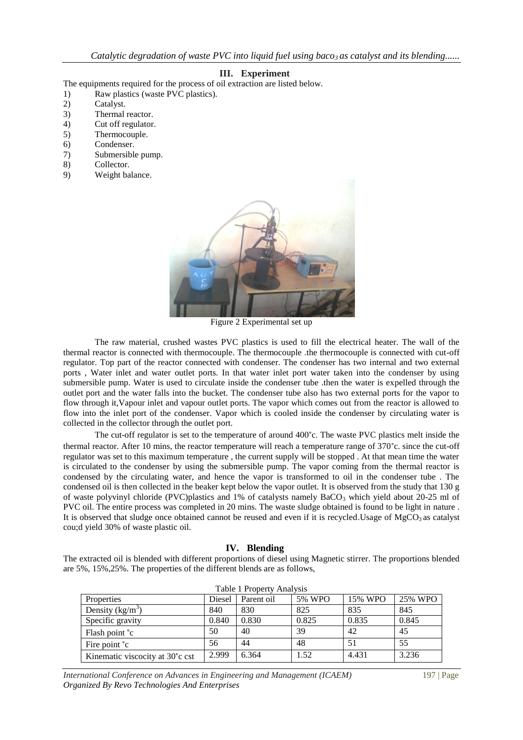*Catalytic degradation of waste PVC into liquid fuel using baco3 as catalyst and its blending......*

## **III. Experiment**

The equipments required for the process of oil extraction are listed below.

- 1) Raw plastics (waste PVC plastics).
- 2) Catalyst.
- 3) Thermal reactor.
- 4) Cut off regulator.
- 5) Thermocouple.
- 6) Condenser.
- 7) Submersible pump.
- 8) Collector.
- 9) Weight balance.



Figure 2 Experimental set up

The raw material, crushed wastes PVC plastics is used to fill the electrical heater. The wall of the thermal reactor is connected with thermocouple. The thermocouple .the thermocouple is connected with cut-off regulator. Top part of the reactor connected with condenser. The condenser has two internal and two external ports , Water inlet and water outlet ports. In that water inlet port water taken into the condenser by using submersible pump. Water is used to circulate inside the condenser tube .then the water is expelled through the outlet port and the water falls into the bucket. The condenser tube also has two external ports for the vapor to flow through it,Vapour inlet and vapour outlet ports. The vapor which comes out from the reactor is allowed to flow into the inlet port of the condenser. Vapor which is cooled inside the condenser by circulating water is collected in the collector through the outlet port.

The cut-off regulator is set to the temperature of around 400°c. The waste PVC plastics melt inside the thermal reactor. After 10 mins, the reactor temperature will reach a temperature range of 370°c. since the cut-off regulator was set to this maximum temperature , the current supply will be stopped . At that mean time the water is circulated to the condenser by using the submersible pump. The vapor coming from the thermal reactor is condensed by the circulating water, and hence the vapor is transformed to oil in the condenser tube . The condensed oil is then collected in the beaker kept below the vapor outlet. It is observed from the study that 130 g of waste polyvinyl chloride (PVC)plastics and 1% of catalysts namely  $BaCO<sub>3</sub>$  which yield about 20-25 ml of PVC oil. The entire process was completed in 20 mins. The waste sludge obtained is found to be light in nature . It is observed that sludge once obtained cannot be reused and even if it is recycled.Usage of  $MgCO<sub>3</sub>$  as catalyst cou;d yield 30% of waste plastic oil.

#### **IV. Blending**

The extracted oil is blended with different proportions of diesel using Magnetic stirrer. The proportions blended are 5%, 15%,25%. The properties of the different blends are as follows,

| Properties                                   | Diesel | Table 1 Property Analysis<br>Parent oil | 5% WPO | 15% WPO | 25% WPO |
|----------------------------------------------|--------|-----------------------------------------|--------|---------|---------|
| Density $(kg/m^3)$                           | 840    | 830                                     | 825    | 835     | 845     |
| Specific gravity                             | 0.840  | 0.830                                   | 0.825  | 0.835   | 0.845   |
| Flash point °c                               | 50     | 40                                      | 39     | 42      | 45      |
| Fire point <sup>°</sup> c                    | 56     | 44                                      | 48     | 51      | 55      |
| Kinematic viscocity at 30 <sup>°</sup> c cst | 2.999  | 6.364                                   | 1.52   | 4.431   | 3.236   |

Table 1 Property Analysis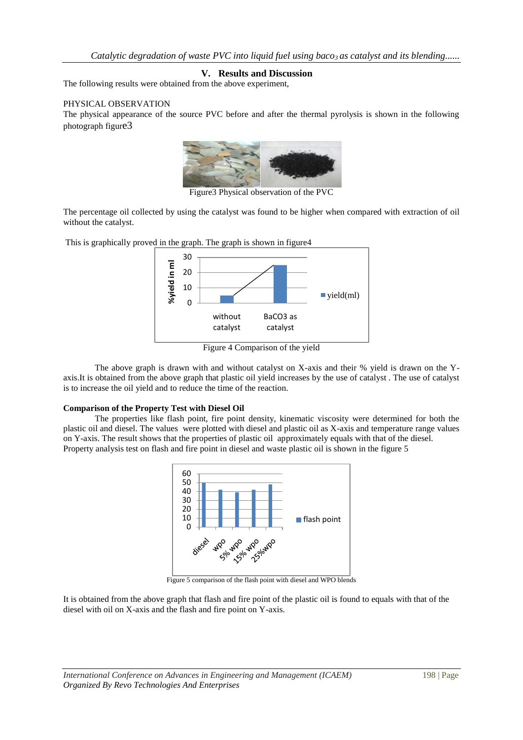# **V. Results and Discussion**

The following results were obtained from the above experiment,

### PHYSICAL OBSERVATION

The physical appearance of the source PVC before and after the thermal pyrolysis is shown in the following photograph figure3



Figure3 Physical observation of the PVC

The percentage oil collected by using the catalyst was found to be higher when compared with extraction of oil without the catalyst.

This is graphically proved in the graph. The graph is shown in figure4



Figure 4 Comparison of the yield

The above graph is drawn with and without catalyst on X-axis and their % yield is drawn on the Yaxis.It is obtained from the above graph that plastic oil yield increases by the use of catalyst . The use of catalyst is to increase the oil yield and to reduce the time of the reaction.

#### **Comparison of the Property Test with Diesel Oil**

The properties like flash point, fire point density, kinematic viscosity were determined for both the plastic oil and diesel. The values were plotted with diesel and plastic oil as X-axis and temperature range values on Y-axis. The result shows that the properties of plastic oil approximately equals with that of the diesel. Property analysis test on flash and fire point in diesel and waste plastic oil is shown in the figure 5



Figure 5 comparison of the flash point with diesel and WPO blends

It is obtained from the above graph that flash and fire point of the plastic oil is found to equals with that of the diesel with oil on X-axis and the flash and fire point on Y-axis.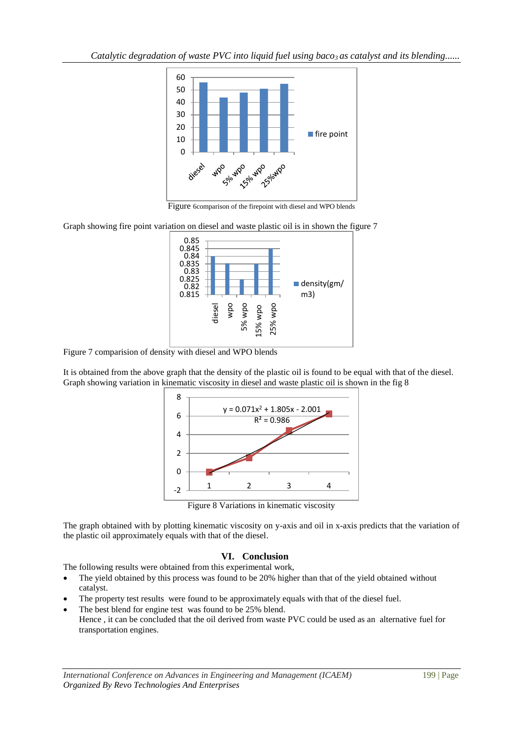*Catalytic degradation of waste PVC into liquid fuel using baco<sub>3</sub> as catalyst and its blending......* 



Figure 6comparison of the firepoint with diesel and WPO blends

Graph showing fire point variation on diesel and waste plastic oil is in shown the figure 7



Figure 7 comparision of density with diesel and WPO blends

It is obtained from the above graph that the density of the plastic oil is found to be equal with that of the diesel. Graph showing variation in kinematic viscosity in diesel and waste plastic oil is shown in the fig 8



Figure 8 Variations in kinematic viscosity

The graph obtained with by plotting kinematic viscosity on y-axis and oil in x-axis predicts that the variation of the plastic oil approximately equals with that of the diesel.

# **VI. Conclusion**

The following results were obtained from this experimental work,

- The yield obtained by this process was found to be 20% higher than that of the yield obtained without catalyst.
- The property test results were found to be approximately equals with that of the diesel fuel.
- The best blend for engine test was found to be 25% blend. Hence , it can be concluded that the oil derived from waste PVC could be used as an alternative fuel for transportation engines.